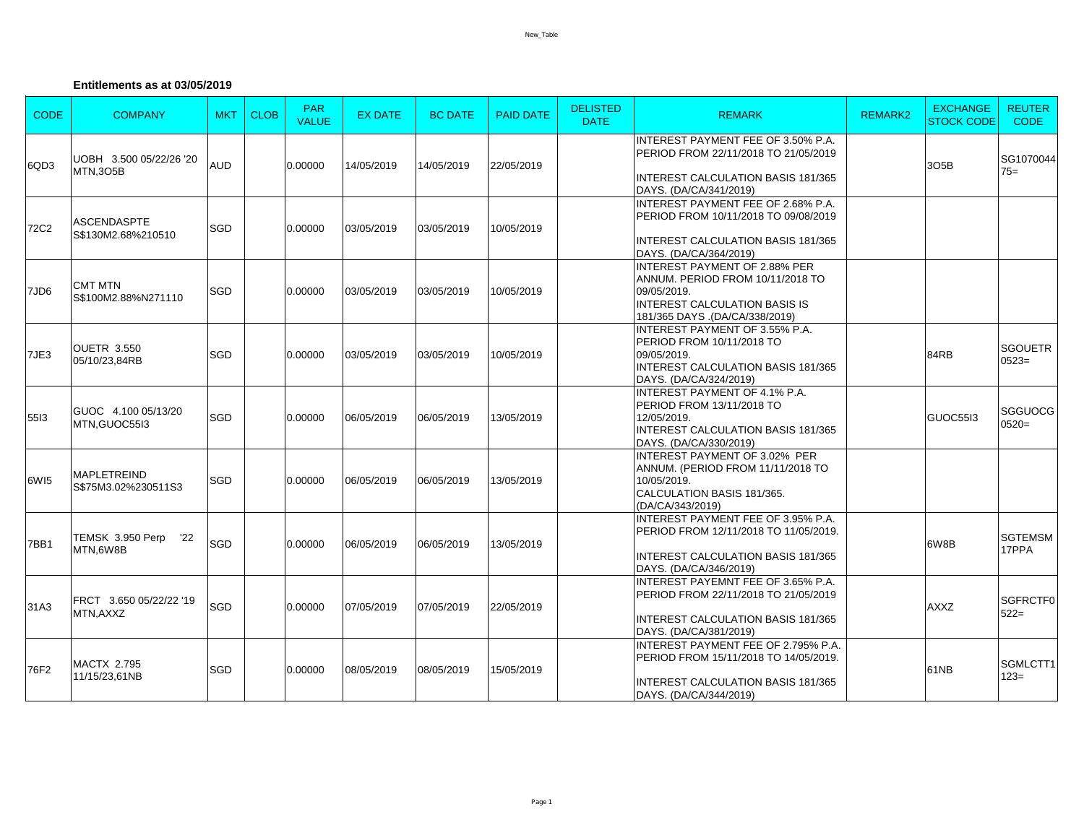## **Entitlements as at 03/05/2019**

| <b>CODE</b> | <b>COMPANY</b>                             | <b>MKT</b> | <b>CLOB</b> | <b>PAR</b><br><b>VALUE</b> | <b>EX DATE</b> | <b>BC DATE</b> | <b>PAID DATE</b> | <b>DELISTED</b><br><b>DATE</b> | <b>REMARK</b>                                                                                                                                                     | <b>REMARK2</b> | <b>EXCHANGE</b><br><b>STOCK CODE</b> | <b>REUTER</b><br><b>CODE</b> |
|-------------|--------------------------------------------|------------|-------------|----------------------------|----------------|----------------|------------------|--------------------------------|-------------------------------------------------------------------------------------------------------------------------------------------------------------------|----------------|--------------------------------------|------------------------------|
| 6QD3        | UOBH 3.500 05/22/26 '20<br><b>MTN,3O5B</b> | <b>AUD</b> |             | 0.00000                    | 14/05/2019     | 14/05/2019     | 22/05/2019       |                                | <b>INTEREST PAYMENT FEE OF 3.50% P.A.</b><br>PERIOD FROM 22/11/2018 TO 21/05/2019<br><b>INTEREST CALCULATION BASIS 181/365</b><br>DAYS. (DA/CA/341/2019)          |                | 305B                                 | SG1070044<br>$75=$           |
| <b>72C2</b> | <b>ASCENDASPTE</b><br>S\$130M2.68%210510   | SGD        |             | 0.00000                    | 03/05/2019     | 03/05/2019     | 10/05/2019       |                                | <b>INTEREST PAYMENT FEE OF 2.68% P.A.</b><br>PERIOD FROM 10/11/2018 TO 09/08/2019<br><b>INTEREST CALCULATION BASIS 181/365</b><br>DAYS. (DA/CA/364/2019)          |                |                                      |                              |
| 7JD6        | <b>CMT MTN</b><br>S\$100M2.88%N271110      | SGD        |             | 0.00000                    | 03/05/2019     | 03/05/2019     | 10/05/2019       |                                | <b>INTEREST PAYMENT OF 2.88% PER</b><br>ANNUM. PERIOD FROM 10/11/2018 TO<br>09/05/2019.<br><b>INTEREST CALCULATION BASIS IS</b><br>181/365 DAYS .(DA/CA/338/2019) |                |                                      |                              |
| 7JE3        | <b>OUETR 3.550</b><br>05/10/23,84RB        | SGD        |             | 0.00000                    | 03/05/2019     | 03/05/2019     | 10/05/2019       |                                | INTEREST PAYMENT OF 3.55% P.A.<br>PERIOD FROM 10/11/2018 TO<br>09/05/2019.<br><b>INTEREST CALCULATION BASIS 181/365</b><br>DAYS. (DA/CA/324/2019)                 |                | 84RB                                 | <b>SGOUETR</b><br>$0523=$    |
| 5513        | GUOC 4.100 05/13/20<br>MTN.GUOC55I3        | SGD        |             | 0.00000                    | 06/05/2019     | 06/05/2019     | 13/05/2019       |                                | <b>INTEREST PAYMENT OF 4.1% P.A.</b><br><b>PERIOD FROM 13/11/2018 TO</b><br>12/05/2019.<br><b>INTEREST CALCULATION BASIS 181/365</b><br>DAYS. (DA/CA/330/2019)    |                | GUOC5513                             | <b>SGGUOCG</b><br>$0520=$    |
| 6WI5        | <b>MAPLETREIND</b><br>S\$75M3.02%230511S3  | SGD        |             | 0.00000                    | 06/05/2019     | 06/05/2019     | 13/05/2019       |                                | <b>INTEREST PAYMENT OF 3.02% PER</b><br>ANNUM. (PERIOD FROM 11/11/2018 TO<br>10/05/2019.<br>CALCULATION BASIS 181/365.<br>(DA/CA/343/2019)                        |                |                                      |                              |
| 7BB1        | TEMSK 3.950 Perp<br>'22<br>MTN.6W8B        | SGD        |             | 0.00000                    | 06/05/2019     | 06/05/2019     | 13/05/2019       |                                | <b>INTEREST PAYMENT FEE OF 3.95% P.A.</b><br>PERIOD FROM 12/11/2018 TO 11/05/2019.<br><b>INTEREST CALCULATION BASIS 181/365</b><br>DAYS. (DA/CA/346/2019)         |                | 6W8B                                 | <b>SGTEMSM</b><br>17PPA      |
| 31A3        | FRCT 3.650 05/22/22 '19<br>MTN.AXXZ        | SGD        |             | 0.00000                    | 07/05/2019     | 07/05/2019     | 22/05/2019       |                                | <b>INTEREST PAYEMNT FEE OF 3.65% P.A.</b><br>PERIOD FROM 22/11/2018 TO 21/05/2019<br><b>INTEREST CALCULATION BASIS 181/365</b><br>DAYS. (DA/CA/381/2019)          |                | <b>AXXZ</b>                          | <b>SGFRCTF0</b><br>$522 =$   |
| 76F2        | <b>MACTX 2.795</b><br>11/15/23,61NB        | SGD        |             | 0.00000                    | 08/05/2019     | 08/05/2019     | 15/05/2019       |                                | INTEREST PAYMENT FEE OF 2.795% P.A.<br>PERIOD FROM 15/11/2018 TO 14/05/2019.<br><b>INTEREST CALCULATION BASIS 181/365</b><br>DAYS. (DA/CA/344/2019)               |                | 61NB                                 | SGMLCTT1<br>$123=$           |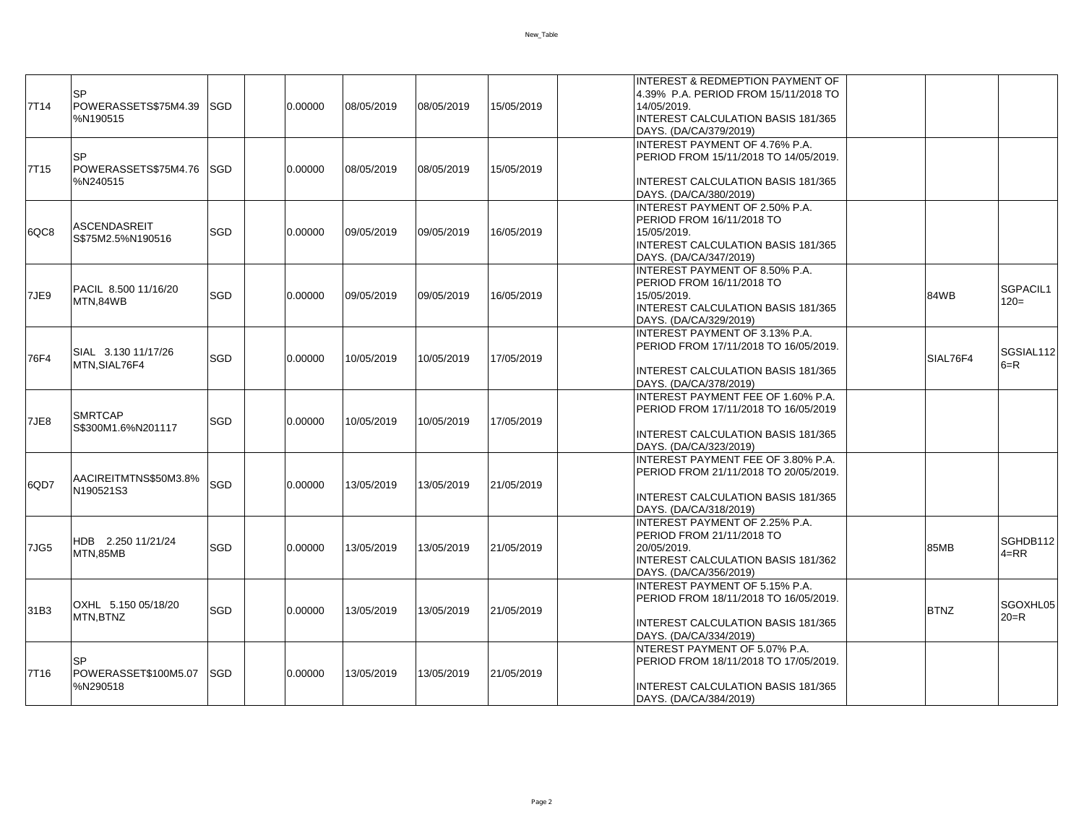New\_Table

| 7T14             | SP<br>POWERASSETS\$75M4.39<br>%N190515        | <b>SGD</b>  | 0.00000 | 08/05/2019 | 08/05/2019 | 15/05/2019 | <b>INTEREST &amp; REDMEPTION PAYMENT OF</b><br>4.39% P.A. PERIOD FROM 15/11/2018 TO<br>14/05/2019.<br><b>INTEREST CALCULATION BASIS 181/365</b><br>DAYS. (DA/CA/379/2019) |                      |
|------------------|-----------------------------------------------|-------------|---------|------------|------------|------------|---------------------------------------------------------------------------------------------------------------------------------------------------------------------------|----------------------|
| 7T <sub>15</sub> | <b>SP</b><br>POWERASSETS\$75M4.76<br>%N240515 | <b>ISGD</b> | 0.00000 | 08/05/2019 | 08/05/2019 | 15/05/2019 | <b>INTEREST PAYMENT OF 4.76% P.A.</b><br>PERIOD FROM 15/11/2018 TO 14/05/2019.<br><b>INTEREST CALCULATION BASIS 181/365</b><br>DAYS. (DA/CA/380/2019)                     |                      |
| 6QC8             | ASCENDASREIT<br>S\$75M2.5%N190516             | <b>SGD</b>  | 0.00000 | 09/05/2019 | 09/05/2019 | 16/05/2019 | IINTEREST PAYMENT OF 2.50% P.A.<br>PERIOD FROM 16/11/2018 TO<br>15/05/2019.<br><b>INTEREST CALCULATION BASIS 181/365</b><br>DAYS. (DA/CA/347/2019)                        |                      |
| 7JE9             | PACIL 8.500 11/16/20<br>MTN,84WB              | SGD         | 0.00000 | 09/05/2019 | 09/05/2019 | 16/05/2019 | INTEREST PAYMENT OF 8.50% P.A.<br>PERIOD FROM 16/11/2018 TO<br>15/05/2019.<br>84WB<br><b>INTEREST CALCULATION BASIS 181/365</b><br>DAYS. (DA/CA/329/2019)                 | SGPACIL1<br>$120 =$  |
| 76F4             | SIAL 3.130 11/17/26<br>MTN.SIAL76F4           | SGD         | 0.00000 | 10/05/2019 | 10/05/2019 | 17/05/2019 | <b>INTEREST PAYMENT OF 3.13% P.A.</b><br>PERIOD FROM 17/11/2018 TO 16/05/2019.<br>SIAL76F4<br><b>INTEREST CALCULATION BASIS 181/365</b><br>DAYS. (DA/CA/378/2019)         | SGSIAL112<br>$6=$ R  |
| 7JE8             | <b>SMRTCAP</b><br>S\$300M1.6%N201117          | SGD         | 0.00000 | 10/05/2019 | 10/05/2019 | 17/05/2019 | <b>INTEREST PAYMENT FEE OF 1.60% P.A.</b><br>PERIOD FROM 17/11/2018 TO 16/05/2019<br><b>INTEREST CALCULATION BASIS 181/365</b><br>DAYS. (DA/CA/323/2019)                  |                      |
| 6QD7             | AACIREITMTNS\$50M3.8%<br>N190521S3            | SGD         | 0.00000 | 13/05/2019 | 13/05/2019 | 21/05/2019 | IINTEREST PAYMENT FEE OF 3.80% P.A.<br>PERIOD FROM 21/11/2018 TO 20/05/2019.<br><b>INTEREST CALCULATION BASIS 181/365</b><br>DAYS. (DA/CA/318/2019)                       |                      |
| 7JG5             | HDB 2.250 11/21/24<br>MTN,85MB                | <b>SGD</b>  | 0.00000 | 13/05/2019 | 13/05/2019 | 21/05/2019 | <b>INTEREST PAYMENT OF 2.25% P.A.</b><br>PERIOD FROM 21/11/2018 TO<br>20/05/2019.<br>85MB<br><b>INTEREST CALCULATION BASIS 181/362</b><br>DAYS. (DA/CA/356/2019)          | SGHDB112<br>$4 = RR$ |
| 31B3             | OXHL 5.150 05/18/20<br>MTN, BTNZ              | SGD         | 0.00000 | 13/05/2019 | 13/05/2019 | 21/05/2019 | <b>INTEREST PAYMENT OF 5.15% P.A.</b><br>PERIOD FROM 18/11/2018 TO 16/05/2019.<br><b>BTNZ</b><br><b>INTEREST CALCULATION BASIS 181/365</b><br>DAYS. (DA/CA/334/2019)      | SGOXHL05<br>$20 = R$ |
| 7T16             | SP<br>POWERASSET\$100M5.07<br>%N290518        | <b>SGD</b>  | 0.00000 | 13/05/2019 | 13/05/2019 | 21/05/2019 | <b>INTEREST PAYMENT OF 5.07% P.A.</b><br>PERIOD FROM 18/11/2018 TO 17/05/2019.<br><b>INTEREST CALCULATION BASIS 181/365</b><br>DAYS. (DA/CA/384/2019)                     |                      |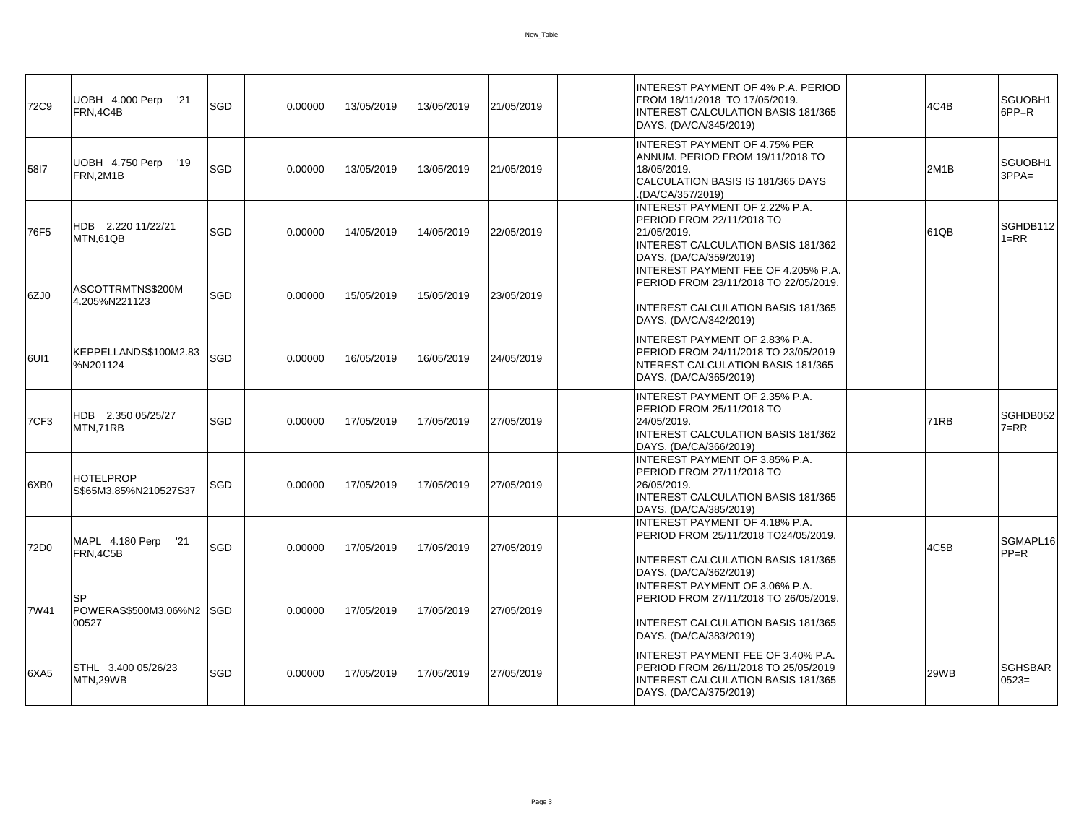| 72C9 | UOBH 4.000 Perp<br>'21<br>FRN.4C4B         | SGD         | 0.00000 | 13/05/2019 | 13/05/2019 | 21/05/2019 | INTEREST PAYMENT OF 4% P.A. PERIOD<br>FROM 18/11/2018 TO 17/05/2019.<br>4C4B<br>INTEREST CALCULATION BASIS 181/365<br>DAYS. (DA/CA/345/2019)                            | SGUOBH1<br>$6PP=R$        |
|------|--------------------------------------------|-------------|---------|------------|------------|------------|-------------------------------------------------------------------------------------------------------------------------------------------------------------------------|---------------------------|
| 5817 | UOBH 4.750 Perp<br>'19<br>FRN.2M1B         | SGD         | 0.00000 | 13/05/2019 | 13/05/2019 | 21/05/2019 | <b>INTEREST PAYMENT OF 4.75% PER</b><br>ANNUM. PERIOD FROM 19/11/2018 TO<br>18/05/2019.<br>2M1B<br>CALCULATION BASIS IS 181/365 DAYS<br>(DA/CA/357/2019).               | SGUOBH1<br>$3PPA=$        |
| 76F5 | HDB 2.220 11/22/21<br>MTN,61QB             | SGD         | 0.00000 | 14/05/2019 | 14/05/2019 | 22/05/2019 | INTEREST PAYMENT OF 2.22% P.A.<br>PERIOD FROM 22/11/2018 TO<br>21/05/2019.<br>61QB<br><b>INTEREST CALCULATION BASIS 181/362</b><br>DAYS. (DA/CA/359/2019)               | SGHDB112<br>$1 = RR$      |
| 6ZJ0 | ASCOTTRMTNS\$200M<br>4.205%N221123         | <b>SGD</b>  | 0.00000 | 15/05/2019 | 15/05/2019 | 23/05/2019 | <b>INTEREST PAYMENT FEE OF 4.205% P.A.</b><br>PERIOD FROM 23/11/2018 TO 22/05/2019.<br><b>INTEREST CALCULATION BASIS 181/365</b><br>DAYS. (DA/CA/342/2019)              |                           |
| 6UI1 | KEPPELLANDS\$100M2.83<br>%N201124          | SGD         | 0.00000 | 16/05/2019 | 16/05/2019 | 24/05/2019 | <b>INTEREST PAYMENT OF 2.83% P.A.</b><br>PERIOD FROM 24/11/2018 TO 23/05/2019<br>NTEREST CALCULATION BASIS 181/365<br>DAYS. (DA/CA/365/2019)                            |                           |
| 7CF3 | HDB 2.350 05/25/27<br>MTN.71RB             | SGD         | 0.00000 | 17/05/2019 | 17/05/2019 | 27/05/2019 | <b>INTEREST PAYMENT OF 2.35% P.A.</b><br>PERIOD FROM 25/11/2018 TO<br>24/05/2019.<br><b>71RB</b><br><b>INTEREST CALCULATION BASIS 181/362</b><br>DAYS. (DA/CA/366/2019) | SGHDB052<br>$7 = RR$      |
| 6XB0 | <b>HOTELPROP</b><br>S\$65M3.85%N210527S37  | <b>SGD</b>  | 0.00000 | 17/05/2019 | 17/05/2019 | 27/05/2019 | INTEREST PAYMENT OF 3.85% P.A.<br>PERIOD FROM 27/11/2018 TO<br>26/05/2019.<br><b>INTEREST CALCULATION BASIS 181/365</b><br>DAYS. (DA/CA/385/2019)                       |                           |
| 72D0 | MAPL 4.180 Perp<br>'21<br>FRN,4C5B         | SGD         | 0.00000 | 17/05/2019 | 17/05/2019 | 27/05/2019 | <b>INTEREST PAYMENT OF 4.18% P.A.</b><br>PERIOD FROM 25/11/2018 TO24/05/2019.<br>4C5B<br>INTEREST CALCULATION BASIS 181/365<br>DAYS. (DA/CA/362/2019)                   | SGMAPL16<br>$PP=R$        |
| 7W41 | <b>SP</b><br>POWERAS\$500M3.06%N2<br>00527 | <b>ISGD</b> | 0.00000 | 17/05/2019 | 17/05/2019 | 27/05/2019 | <b>INTEREST PAYMENT OF 3.06% P.A.</b><br>PERIOD FROM 27/11/2018 TO 26/05/2019.<br><b>INTEREST CALCULATION BASIS 181/365</b><br>DAYS. (DA/CA/383/2019)                   |                           |
| 6XA5 | STHL 3.400 05/26/23<br>MTN.29WB            | SGD         | 0.00000 | 17/05/2019 | 17/05/2019 | 27/05/2019 | INTEREST PAYMENT FEE OF 3.40% P.A.<br>PERIOD FROM 26/11/2018 TO 25/05/2019<br>29WB<br><b>INTEREST CALCULATION BASIS 181/365</b><br>DAYS. (DA/CA/375/2019)               | <b>SGHSBAR</b><br>$0523=$ |